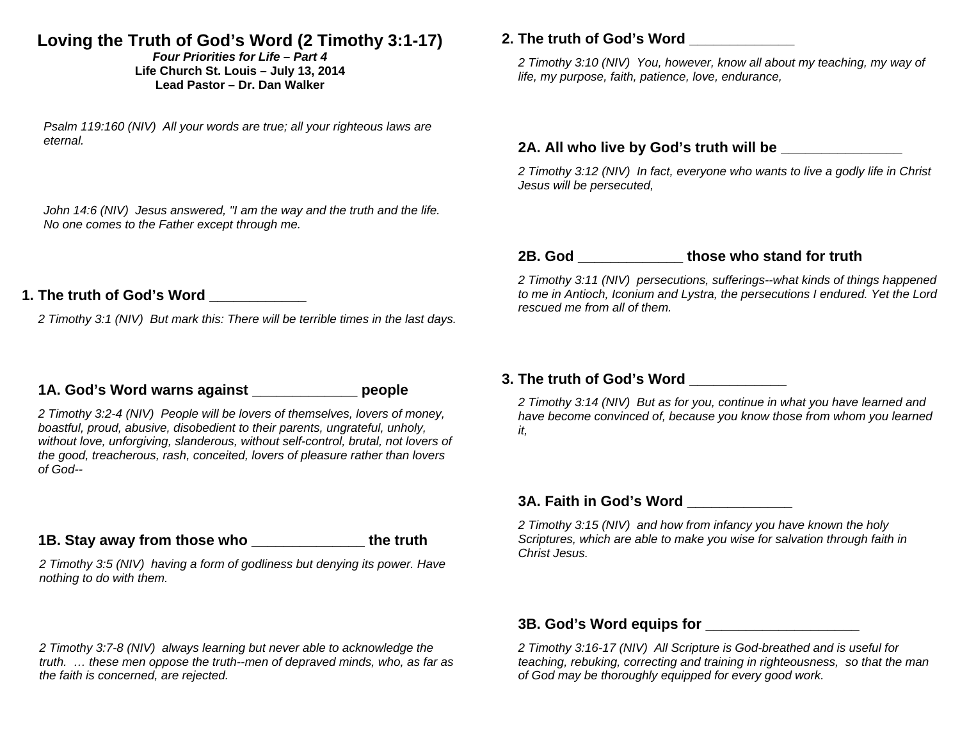# **Loving the Truth of God's Word (2 Timothy 3:1-17)**

#### *Four Priorities for Life – Part 4* **Life Church St. Louis**  *–* **July 13, 2014 Lead Pastor – Dr. Dan Walker**

*Psalm 119:160 (NIV) All your words are true; all your righteous laws are eternal.* 

*John 14:6 (NIV) Jesus answered, "I am the way and the truth and the life. No one comes to the Father except through me.* 

#### **1. The truth of God's Word \_\_\_\_\_\_\_\_\_\_\_\_**

*2 Timothy 3:1 (NIV) But mark this: There will be terrible times in the last days.* 

#### **1A. God's Word warns against \_\_\_\_\_\_\_\_\_\_\_\_\_ people**

*2 Timothy 3:2-4 (NIV) People will be lovers of themselves, lovers of money, boastful, proud, abusive, disobedient to their parents, ungrateful, unholy, without love, unforgiving, slanderous, without self-control, brutal, not lovers of the good, treacherous, rash, conceited, lovers of pleasure rather than lovers of God--* 

## **1B. Stay away from those who \_\_\_\_\_\_\_\_\_\_\_\_\_\_ the truth**

*2 Timothy 3:5 (NIV) having a form of godliness but denying its power. Have nothing to do with them.* 

*2 Timothy 3:7-8 (NIV) always learning but never able to acknowledge the truth. … these men oppose the truth--men of depraved minds, who, as far as the faith is concerned, are rejected.* 

## **2. The truth of God's Word \_\_\_\_\_\_\_\_\_\_\_\_\_**

*2 Timothy 3:10 (NIV) You, however, know all about my teaching, my way of life, my purpose, faith, patience, love, endurance,* 

## **2A. All who live by God's truth will be \_\_\_\_\_\_\_\_\_\_\_\_\_\_\_**

*2 Timothy 3:12 (NIV) In fact, everyone who wants to live a godly life in Christ Jesus will be persecuted,* 

## **2B. God \_\_\_\_\_\_\_\_\_\_\_\_\_ those who stand for truth**

*2 Timothy 3:11 (NIV) persecutions, sufferings--what kinds of things happened to me in Antioch, Iconium and Lystra, the persecutions I endured. Yet the Lord rescued me from all of them.* 

#### **3. The truth of God's Word \_\_\_\_\_\_\_\_\_\_\_\_**

*2 Timothy 3:14 (NIV) But as for you, continue in what you have learned and have become convinced of, because you know those from whom you learned it,* 

#### **3A. Faith in God's Word \_\_\_\_\_\_\_\_\_\_\_\_\_**

*2 Timothy 3:15 (NIV) and how from infancy you have known the holy Scriptures, which are able to make you wise for salvation through faith in Christ Jesus.* 

# **3B. God's Word equips for \_\_\_\_\_\_\_\_\_\_\_\_\_\_\_\_\_\_\_**

*2 Timothy 3:16-17 (NIV) All Scripture is God-breathed and is useful for teaching, rebuking, correcting and training in righteousness, so that the man of God may be thoroughly equipped for every good work.*